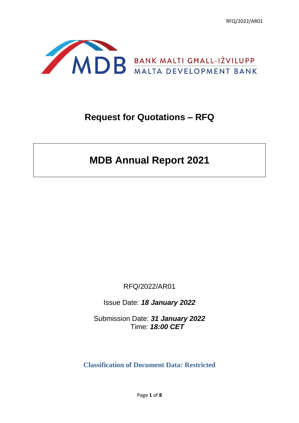RFQ/2022/AR01



# **Request for Quotations – RFQ**

# **MDB Annual Report 2021**

RFQ/2022/AR01

Issue Date: *18 January 2022*

Submission Date: *31 January 2022*  Time: *18:00 CET*

**Classification of Document Data: Restricted**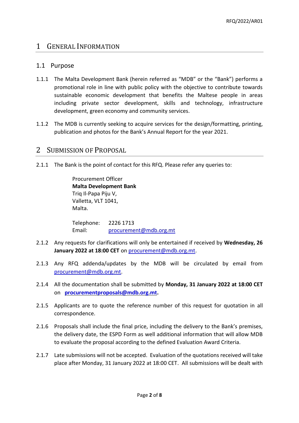## 1 GENERAL INFORMATION

#### 1.1 Purpose

- 1.1.1 The Malta Development Bank (herein referred as "MDB" or the "Bank") performs a promotional role in line with public policy with the objective to contribute towards sustainable economic development that benefits the Maltese people in areas including private sector development, skills and technology, infrastructure development, green economy and community services.
- 1.1.2 The MDB is currently seeking to acquire services for the design/formatting, printing, publication and photos for the Bank's Annual Report for the year 2021.

## 2 SUBMISSION OF PROPOSAL

2.1.1 The Bank is the point of contact for this RFQ. Please refer any queries to:

Procurement Officer **Malta Development Bank**  Triq Il-Papa Piju V, Valletta, VLT 1041, Malta.

Telephone: 2226 1713 Email: [procurement@mdb.org.mt](mailto:procurement@mdb.org.mt)

- 2.1.2 Any requests for clarifications will only be entertained if received by **Wednesday, 26 January 2022 at 18:00 CET** on [procurement@mdb.org.mt.](mailto:procurement@mdb.org.mt)
- 2.1.3 Any RFQ addenda/updates by the MDB will be circulated by email from [procurement@mdb.org.mt.](mailto:procurement@mdb.org.mt)
- 2.1.4 All the documentation shall be submitted by **Monday, 31 January 2022 at 18:00 CET** on **[procurementproposals@mdb.org.mt.](mailto:procurementproposals@mdb.org.mt)**
- 2.1.5 Applicants are to quote the reference number of this request for quotation in all correspondence.
- 2.1.6 Proposals shall include the final price, including the delivery to the Bank's premises, the delivery date, the ESPD Form as well additional information that will allow MDB to evaluate the proposal according to the defined Evaluation Award Criteria.
- 2.1.7 Late submissions will not be accepted. Evaluation of the quotations received will take place after Monday, 31 January 2022 at 18:00 CET. All submissions will be dealt with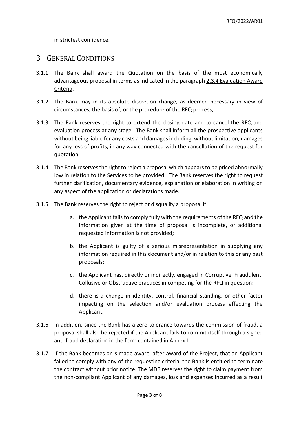in strictest confidence.

## 3 GENERAL CONDITIONS

- 3.1.1 The Bank shall award the Quotation on the basis of the most economically advantageous proposal in terms as indicated in the paragraph 2.3.4 Evaluation Award Criteria.
- 3.1.2 The Bank may in its absolute discretion change, as deemed necessary in view of circumstances, the basis of, or the procedure of the RFQ process;
- 3.1.3 The Bank reserves the right to extend the closing date and to cancel the RFQ and evaluation process at any stage. The Bank shall inform all the prospective applicants without being liable for any costs and damages including, without limitation, damages for any loss of profits, in any way connected with the cancellation of the request for quotation.
- 3.1.4 The Bank reserves the right to reject a proposal which appears to be priced abnormally low in relation to the Services to be provided. The Bank reserves the right to request further clarification, documentary evidence, explanation or elaboration in writing on any aspect of the application or declarations made.
- 3.1.5 The Bank reserves the right to reject or disqualify a proposal if:
	- a. the Applicant fails to comply fully with the requirements of the RFQ and the information given at the time of proposal is incomplete, or additional requested information is not provided;
	- b. the Applicant is guilty of a serious misrepresentation in supplying any information required in this document and/or in relation to this or any past proposals;
	- c. the Applicant has, directly or indirectly, engaged in Corruptive, Fraudulent, Collusive or Obstructive practices in competing for the RFQ in question;
	- d. there is a change in identity, control, financial standing, or other factor impacting on the selection and/or evaluation process affecting the Applicant.
- 3.1.6 In addition, since the Bank has a zero tolerance towards the commission of fraud, a proposal shall also be rejected if the Applicant fails to commit itself through a signed anti-fraud declaration in the form contained in Annex I.
- 3.1.7 If the Bank becomes or is made aware, after award of the Project, that an Applicant failed to comply with any of the requesting criteria, the Bank is entitled to terminate the contract without prior notice. The MDB reserves the right to claim payment from the non-compliant Applicant of any damages, loss and expenses incurred as a result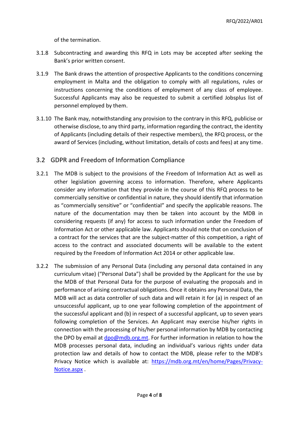of the termination.

- 3.1.8 Subcontracting and awarding this RFQ in Lots may be accepted after seeking the Bank's prior written consent.
- 3.1.9 The Bank draws the attention of prospective Applicants to the conditions concerning employment in Malta and the obligation to comply with all regulations, rules or instructions concerning the conditions of employment of any class of employee. Successful Applicants may also be requested to submit a certified Jobsplus list of personnel employed by them.
- 3.1.10 The Bank may, notwithstanding any provision to the contrary in this RFQ, publicise or otherwise disclose, to any third party, information regarding the contract, the identity of Applicants (including details of their respective members), the RFQ process, or the award of Services (including, without limitation, details of costs and fees) at any time.

### 3.2 GDPR and Freedom of Information Compliance

- 3.2.1 The MDB is subject to the provisions of the Freedom of Information Act as well as other legislation governing access to information. Therefore, where Applicants consider any information that they provide in the course of this RFQ process to be commercially sensitive or confidential in nature, they should identify that information as "commercially sensitive" or "confidential" and specify the applicable reasons. The nature of the documentation may then be taken into account by the MDB in considering requests (if any) for access to such information under the Freedom of Information Act or other applicable law. Applicants should note that on conclusion of a contract for the services that are the subject-matter of this competition, a right of access to the contract and associated documents will be available to the extent required by the Freedom of Information Act 2014 or other applicable law.
- 3.2.2 The submission of any Personal Data (including any personal data contained in any curriculum vitae) ("Personal Data") shall be provided by the Applicant for the use by the MDB of that Personal Data for the purpose of evaluating the proposals and in performance of arising contractual obligations. Once it obtains any Personal Data, the MDB will act as data controller of such data and will retain it for (a) in respect of an unsuccessful applicant, up to one year following completion of the appointment of the successful applicant and (b) in respect of a successful applicant, up to seven years following completion of the Services. An Applicant may exercise his/her rights in connection with the processing of his/her personal information by MDB by contacting the DPO by email at [dpo@mdb.org.mt.](mailto:dpo@mdb.org.mt) For further information in relation to how the MDB processes personal data, including an individual's various rights under data protection law and details of how to contact the MDB, please refer to the MDB's Privacy Notice which is available at: [https://mdb.org.mt/en/home/Pages/Privacy-](https://mdb.org.mt/en/home/Pages/Privacy-Notice.aspx)[Notice.aspx](https://mdb.org.mt/en/home/Pages/Privacy-Notice.aspx) .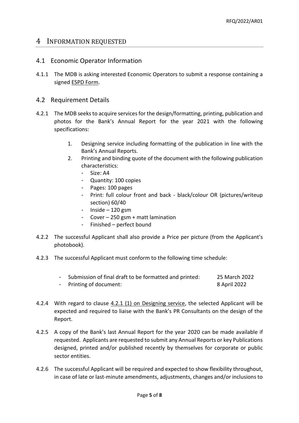### 4 INFORMATION REQUESTED

#### 4.1 Economic Operator Information

4.1.1 The MDB is asking interested Economic Operators to submit a response containing a signed ESPD Form.

#### 4.2 Requirement Details

- 4.2.1 The MDB seeks to acquire services for the design/formatting, printing, publication and photos for the Bank's Annual Report for the year 2021 with the following specifications:
	- 1. Designing service including formatting of the publication in line with the Bank's Annual Reports.
	- 2. Printing and binding quote of the document with the following publication characteristics:
		- Size: A4
		- Quantity: 100 copies
		- Pages: 100 pages
		- Print: full colour front and back black/colour OR (pictures/writeup section) 60/40
		- $Inside 120$  gsm
		- Cover 250 gsm + matt lamination
		- Finished perfect bound
- 4.2.2 The successful Applicant shall also provide a Price per picture (from the Applicant's photobook).
- 4.2.3 The successful Applicant must conform to the following time schedule:
	- Submission of final draft to be formatted and printed: 25 March 2022
	- Printing of document: 8 April 2022
- 4.2.4 With regard to clause 4.2.1 (1) on Designing service, the selected Applicant will be expected and required to liaise with the Bank's PR Consultants on the design of the Report.
- 4.2.5 A copy of the Bank's last Annual Report for the year 2020 can be made available if requested. Applicants are requested to submit any Annual Reports or key Publications designed, printed and/or published recently by themselves for corporate or public sector entities.
- 4.2.6 The successful Applicant will be required and expected to show flexibility throughout, in case of late or last-minute amendments, adjustments, changes and/or inclusions to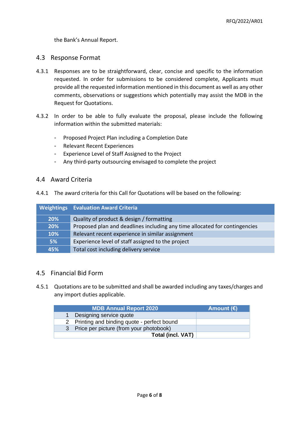the Bank's Annual Report.

#### 4.3 Response Format

- 4.3.1 Responses are to be straightforward, clear, concise and specific to the information requested. In order for submissions to be considered complete, Applicants must provide all the requested information mentioned in this document as well as any other comments, observations or suggestions which potentially may assist the MDB in the Request for Quotations.
- 4.3.2 In order to be able to fully evaluate the proposal, please include the following information within the submitted materials:
	- Proposed Project Plan including a Completion Date
	- Relevant Recent Experiences
	- Experience Level of Staff Assigned to the Project
	- Any third-party outsourcing envisaged to complete the project

#### 4.4 Award Criteria

4.4.1 The award criteria for this Call for Quotations will be based on the following:

|            | <b>Weightings</b> Evaluation Award Criteria                                |  |
|------------|----------------------------------------------------------------------------|--|
| <b>20%</b> | Quality of product & design / formatting                                   |  |
| 20%        | Proposed plan and deadlines including any time allocated for contingencies |  |
| 10%        | Relevant recent experience in similar assignment                           |  |
| 5%         | Experience level of staff assigned to the project                          |  |
| 45%        | Total cost including delivery service                                      |  |

#### 4.5 Financial Bid Form

4.5.1 Quotations are to be submitted and shall be awarded including any taxes/charges and any import duties applicable.

| <b>MDB Annual Report 2020</b>                | Amount $(\epsilon)$ |
|----------------------------------------------|---------------------|
| Designing service quote                      |                     |
| 2 Printing and binding quote - perfect bound |                     |
| 3 Price per picture (from your photobook)    |                     |
| <b>Total (incl. VAT)</b>                     |                     |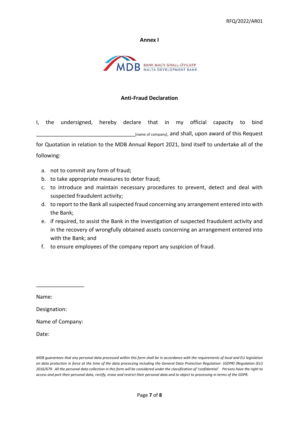#### **Annex I**



#### **Anti-Fraud Declaration**

I, the undersigned, hereby declare that in my official capacity to bind \_\_\_\_\_\_\_\_\_\_\_\_\_\_\_\_\_\_\_\_\_\_\_\_\_\_\_\_\_\_\_\_\_[name of company], and shall, upon award of this Request

for Quotation in relation to the MDB Annual Report 2021, bind itself to undertake all of the following:

- a. not to commit any form of fraud;
- b. to take appropriate measures to deter fraud;
- c. to introduce and maintain necessary procedures to prevent, detect and deal with suspected fraudulent activity;
- d. to report to the Bank all suspected fraud concerning any arrangement entered into with the Bank;
- e. if required, to assist the Bank in the investigation of suspected fraudulent activity and in the recovery of wrongfully obtained assets concerning an arrangement entered into with the Bank; and
- f. to ensure employees of the company report any suspicion of fraud.

Name:

Designation:

Name of Company:

\_\_\_\_\_\_\_\_\_\_\_\_\_\_\_\_

Date:

*MDB guarantees that any personal data processed within this form shall be in accordance with the requirements of local and EU legislation on data protection in force at the time of the data processing including the General Data Protection Regulation- (GDPR) (Regulation (EU) 2016/679. All the personal data collection in this form will be considered under the classification of 'confidential'. Persons have the right to access and port their personal data, rectify, erase and restrict their personal data and to object to processing in terms of the GDPR.*